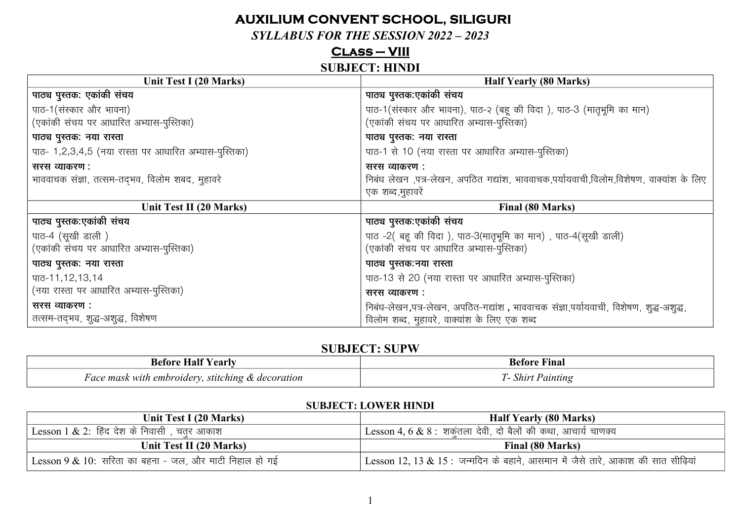# **AUXILIUM CONVENT SCHOOL, SILIGURI**

#### **SYLLABUS FOR THE SESSION 2022 - 2023**

#### $CLASS-VIII$

#### **SUBJECT: HINDI**

| Unit Test I (20 Marks)                                | <b>Half Yearly (80 Marks)</b>                                                          |
|-------------------------------------------------------|----------------------------------------------------------------------------------------|
| पाठ्य पुस्तक: एकांकी संचय                             | पाठ्य पुस्तक:एकांकी संचय                                                               |
| पाठ-1(संस्कार और भावना)                               | पाठ-1(संस्कार और भावना), पाठ-२ (बहू की विदा), पाठ-3 (मातृभूमि का मान)                  |
| (एकांकी संचय पर आधारित अभ्यास-पुस्तिका)               | (एकांकी संचय पर आधारित अभ्यास-पुस्तिका)                                                |
| पाठ्य पुस्तक: नया रास्ता                              | पाठ्य पुस्तक: नया रास्ता                                                               |
| पाठ- 1,2,3,4,5 (नया रास्ता पर आधारित अभ्यास-पुस्तिका) | पाठ-1 से 10 (नया रास्ता पर आधारित अभ्यास-पुस्तिका)                                     |
| सरस व्याकरण :                                         | सरस व्याकरण :                                                                          |
| भाववाचक संज्ञा, तत्सम-तद्भव, विलोम शबद, मुहावरे       | निबंध लेखन ,पत्र-लेखन, अपठित गद्यांश, भाववाचक,पर्यायवाची,विलोम,विशेषण, वाक्यांश के लिए |
|                                                       | एक शब्द,मुहावरें                                                                       |
| Unit Test II (20 Marks)                               | Final (80 Marks)                                                                       |
| पाठ्य पुस्तक:एकांकी संचय                              | पाठ्य पुस्तक:एकांकी संचय                                                               |
| पाठ-4 (सूखी डाली)                                     | पाठ -2( बहू की विदा), पाठ-3(मातृभूमि का मान), पाठ-4(सूखी डाली)                         |
| (एकांकी संचय पर आधारित अभ्यास-पुस्तिका)               | (एकांकी संचय पर आधारित अभ्यास-पुस्तिका)                                                |
| पाठ्य पुस्तक: नया रास्ता                              | पाठ्य पुस्तक:नया रास्ता                                                                |
| पाठ-11,12,13,14                                       | पाठ-13 से 20 (नया रास्ता पर आधारित अभ्यास-पुस्तिका)                                    |
| (नया रास्ता पर आधारित अभ्यास-पुस्तिका)                | सरस व्याकरण :                                                                          |
| सरस व्याकरण :                                         | निबंध-लेखन,पत्र-लेखन, अपठित-गद्यांश , भाववाचक संज्ञा,पर्यायवाची, विशेषण, शुद्ध-अशुद्ध, |
| तत्सम-तद्भव, शुद्ध-अशुद्ध, विशेषण                     | विलोम शब्द, मुहावरे, वाक्यांश के लिए एक शब्द                                           |

#### **SUBJECT: SUPW**

| ____                                                            |                      |
|-----------------------------------------------------------------|----------------------|
| vearly<br>AtAra<br>наг                                          | ÷<br>Finar<br>'⊿etor |
| with embroidery, :<br>r ace mask<br>stitching<br>t & decoration | aintin<br>snır       |

#### **SUBJECT: LOWER HINDI**

| Unit Test I (20 Marks)                                 | <b>Half Yearly (80 Marks)</b>                                                    |
|--------------------------------------------------------|----------------------------------------------------------------------------------|
| Lesson 1 $\&$ 2: हिंद देश के निवासी , चतर आकाश         | <sup>।</sup> Lesson 4, 6 & 8 :  शकतला  देवी, दो बैलों की कथा, आचार्य चाणक्य      |
| Unit Test II (20 Marks)                                | Final (80 Marks)                                                                 |
| Lesson 9 & 10: सरिता का बहना - जल, और माटी निहाल हो गई | Lesson 12, 13 & 15 : जन्मदिन के बहाने, आसमान में जैसे तारे, आकाश की सात सीढ़ियां |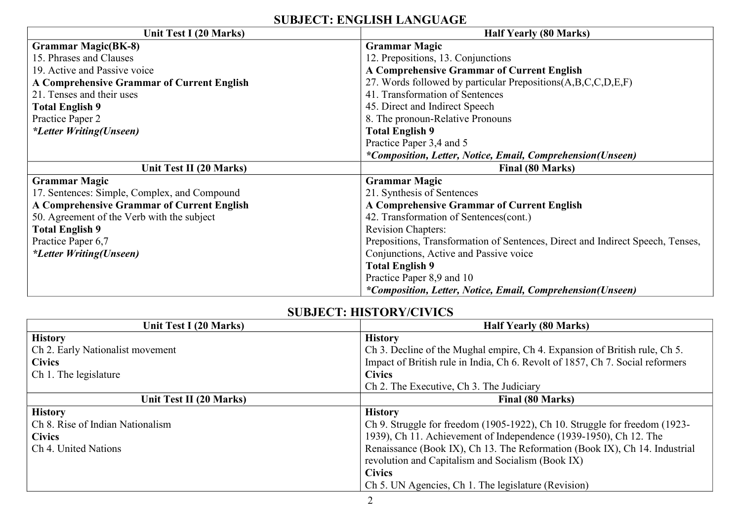# **SUBJECT: ENGLISH LANGUAGE**

| Unit Test I (20 Marks)                            | <b>Half Yearly (80 Marks)</b>                                                  |
|---------------------------------------------------|--------------------------------------------------------------------------------|
| <b>Grammar Magic(BK-8)</b>                        | <b>Grammar Magic</b>                                                           |
| 15. Phrases and Clauses                           | 12. Prepositions, 13. Conjunctions                                             |
| 19. Active and Passive voice                      | A Comprehensive Grammar of Current English                                     |
| <b>A Comprehensive Grammar of Current English</b> | 27. Words followed by particular Prepositions(A,B,C,C,D,E,F)                   |
| 21. Tenses and their uses                         | 41. Transformation of Sentences                                                |
| <b>Total English 9</b>                            | 45. Direct and Indirect Speech                                                 |
| Practice Paper 2                                  | 8. The pronoun-Relative Pronouns                                               |
| <i>*Letter Writing(Unseen)</i>                    | <b>Total English 9</b>                                                         |
|                                                   | Practice Paper 3,4 and 5                                                       |
|                                                   | *Composition, Letter, Notice, Email, Comprehension(Unseen)                     |
| Unit Test II (20 Marks)                           | Final (80 Marks)                                                               |
| <b>Grammar Magic</b>                              | <b>Grammar Magic</b>                                                           |
| 17. Sentences: Simple, Complex, and Compound      | 21. Synthesis of Sentences                                                     |
| <b>A Comprehensive Grammar of Current English</b> | A Comprehensive Grammar of Current English                                     |
| 50. Agreement of the Verb with the subject        | 42. Transformation of Sentences(cont.)                                         |
| <b>Total English 9</b>                            | <b>Revision Chapters:</b>                                                      |
| Practice Paper 6,7                                | Prepositions, Transformation of Sentences, Direct and Indirect Speech, Tenses, |
| <i>*Letter Writing(Unseen)</i>                    | Conjunctions, Active and Passive voice                                         |
|                                                   | <b>Total English 9</b>                                                         |
|                                                   | Practice Paper 8,9 and 10                                                      |
|                                                   | *Composition, Letter, Notice, Email, Comprehension(Unseen)                     |

## **SUBJECT: HISTORY/CIVICS**

| Unit Test I (20 Marks)           | <b>Half Yearly (80 Marks)</b>                                                 |
|----------------------------------|-------------------------------------------------------------------------------|
| <b>History</b>                   | <b>History</b>                                                                |
| Ch 2. Early Nationalist movement | Ch 3. Decline of the Mughal empire, Ch 4. Expansion of British rule, Ch 5.    |
| <b>Civics</b>                    | Impact of British rule in India, Ch 6. Revolt of 1857, Ch 7. Social reformers |
| Ch 1. The legislature            | <b>Civics</b>                                                                 |
|                                  | Ch 2. The Executive, Ch 3. The Judiciary                                      |
| Unit Test II (20 Marks)          | Final (80 Marks)                                                              |
| <b>History</b>                   | <b>History</b>                                                                |
| Ch 8. Rise of Indian Nationalism | Ch 9. Struggle for freedom (1905-1922), Ch 10. Struggle for freedom (1923-    |
| <b>Civics</b>                    | 1939), Ch 11. Achievement of Independence (1939-1950), Ch 12. The             |
| Ch 4. United Nations             | Renaissance (Book IX), Ch 13. The Reformation (Book IX), Ch 14. Industrial    |
|                                  | revolution and Capitalism and Socialism (Book IX)                             |
|                                  | <b>Civics</b>                                                                 |
|                                  | Ch 5. UN Agencies, Ch 1. The legislature (Revision)                           |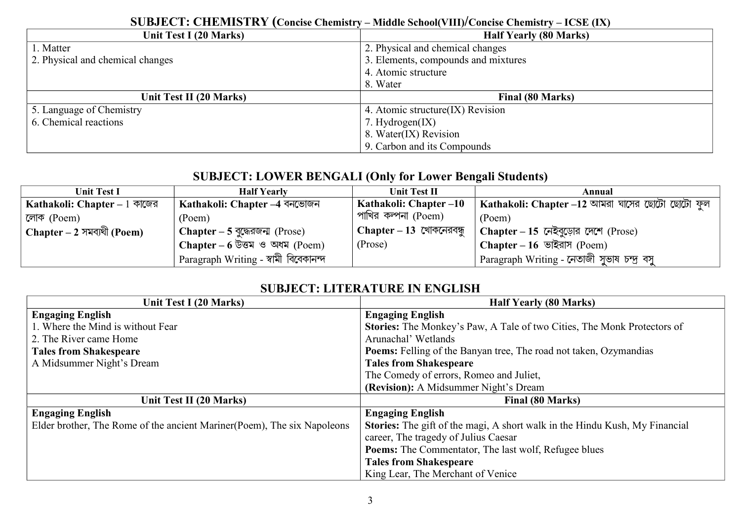#### **SUBJECT: CHEMISTRY (Concise Chemistry – Middle School(VIII)/Concise Chemistry – ICSE (IX) Half Yearly (80 Marks)** 1. Matter 2. Physical and chemical changes 2. Physical and chemical changes 3. Elements, compounds and mixtures 4. Atomic structure 8. Water **Unit Test II (20 Marks) Final (80 Marks)** 5. Language of Chemistry 6. Chemical reactions 4. Atomic structure(IX) Revision 7. Hydrogen(IX) 8. Water(IX) Revision 9. Carbon and its Compounds

# **SUBJECT: LOWER BENGALI (Only for Lower Bengali Students)**

| <b>Unit Test I</b>            | <b>Half Yearly</b>                                                                                                                                                                                                                                                                                                                                                       | Unit Test II                      | Annual                                          |
|-------------------------------|--------------------------------------------------------------------------------------------------------------------------------------------------------------------------------------------------------------------------------------------------------------------------------------------------------------------------------------------------------------------------|-----------------------------------|-------------------------------------------------|
| Kathakoli: Chapter $-1$ কাজের | Kathakoli: Chapter –4 বনভোজন                                                                                                                                                                                                                                                                                                                                             | Kathakoli: Chapter –10            | Kathakoli: Chapter –12 আমরা ঘাসের ছোটো ছোটো ফুল |
| লোক (Poem)                    | (Poem)                                                                                                                                                                                                                                                                                                                                                                   | , পাখির কল্পনা (Poem)             | (Poem)                                          |
| Chapter – 2 সমব্যথী (Poem)    | <b>Chapter – 5 বুদ্ধেরজন্ম (Prose)</b>                                                                                                                                                                                                                                                                                                                                   | $\Gamma$ Chapter – 13 খোকনেরবন্ধু | Chapter – 15 নেইবুড়োর দেশে (Prose)             |
|                               | Chapter – 6 $\overline{C}$ $\overline{C}$ $\overline{C}$ $\overline{C}$ $\overline{C}$ $\overline{C}$ $\overline{C}$ $\overline{C}$ $\overline{C}$ $\overline{C}$ $\overline{C}$ $\overline{C}$ $\overline{C}$ $\overline{C}$ $\overline{C}$ $\overline{C}$ $\overline{C}$ $\overline{C}$ $\overline{C}$ $\overline{C}$ $\overline{C}$ $\overline{C}$ $\overline{C}$ $\$ | (Prose)                           | Chapter – $16$ ভাইরাস (Poem)                    |
|                               | ' Paragraph Writing - স্বামী বিবেকানন্দ                                                                                                                                                                                                                                                                                                                                  |                                   | Paragraph Writing - নেতাজী সুভাষ চন্দ্ৰ বসু     |

# **SUBJECT: LITERATURE IN ENGLISH**

| Unit Test I (20 Marks)                                                   | <b>Half Yearly (80 Marks)</b>                                               |
|--------------------------------------------------------------------------|-----------------------------------------------------------------------------|
| <b>Engaging English</b>                                                  | <b>Engaging English</b>                                                     |
| 1. Where the Mind is without Fear                                        | Stories: The Monkey's Paw, A Tale of two Cities, The Monk Protectors of     |
| 2. The River came Home                                                   | Arunachal' Wetlands                                                         |
| <b>Tales from Shakespeare</b>                                            | <b>Poems:</b> Felling of the Banyan tree, The road not taken, Ozymandias    |
| A Midsummer Night's Dream                                                | <b>Tales from Shakespeare</b>                                               |
|                                                                          | The Comedy of errors, Romeo and Juliet,                                     |
|                                                                          | (Revision): A Midsummer Night's Dream                                       |
| Unit Test II (20 Marks)                                                  | Final (80 Marks)                                                            |
| <b>Engaging English</b>                                                  | <b>Engaging English</b>                                                     |
| Elder brother, The Rome of the ancient Mariner (Poem), The six Napoleons | Stories: The gift of the magi, A short walk in the Hindu Kush, My Financial |
|                                                                          | career, The tragedy of Julius Caesar                                        |
|                                                                          | <b>Poems:</b> The Commentator, The last wolf, Refugee blues                 |
|                                                                          | <b>Tales from Shakespeare</b>                                               |
|                                                                          | King Lear, The Merchant of Venice                                           |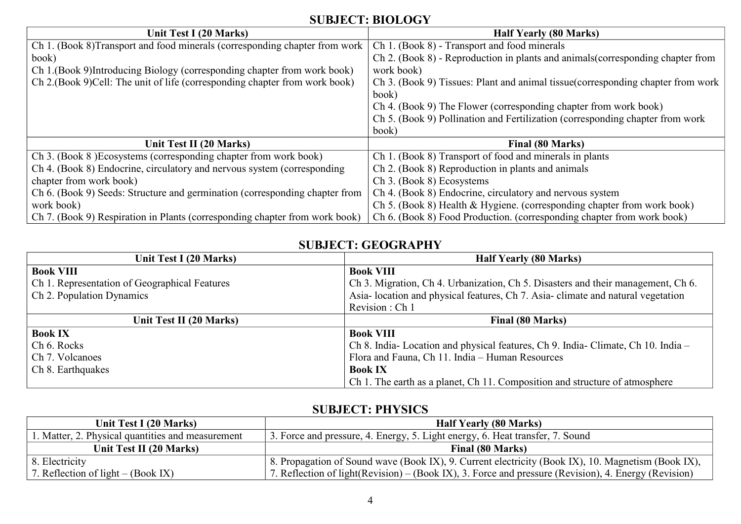# **SUBJECT: BIOLOGY**

| Unit Test I (20 Marks)                                                      | <b>Half Yearly (80 Marks)</b>                                                    |
|-----------------------------------------------------------------------------|----------------------------------------------------------------------------------|
| Ch 1. (Book 8) Transport and food minerals (corresponding chapter from work | Ch 1. (Book 8) - Transport and food minerals                                     |
| book)                                                                       | Ch 2. (Book 8) - Reproduction in plants and animals (corresponding chapter from  |
| Ch 1.(Book 9) Introducing Biology (corresponding chapter from work book)    | work book)                                                                       |
| Ch 2.(Book 9)Cell: The unit of life (corresponding chapter from work book)  | Ch 3. (Book 9) Tissues: Plant and animal tissue (corresponding chapter from work |
|                                                                             | book)                                                                            |
|                                                                             | Ch 4. (Book 9) The Flower (corresponding chapter from work book)                 |
|                                                                             | Ch 5. (Book 9) Pollination and Fertilization (corresponding chapter from work    |
|                                                                             | book)                                                                            |
| Unit Test II (20 Marks)                                                     | Final (80 Marks)                                                                 |
| Ch 3. (Book 8) Ecosystems (corresponding chapter from work book)            | Ch 1. (Book 8) Transport of food and minerals in plants                          |
| Ch 4. (Book 8) Endocrine, circulatory and nervous system (corresponding     | Ch 2. (Book 8) Reproduction in plants and animals                                |
| chapter from work book)                                                     | Ch 3. (Book 8) Ecosystems                                                        |
| Ch 6. (Book 9) Seeds: Structure and germination (corresponding chapter from | Ch 4. (Book 8) Endocrine, circulatory and nervous system                         |
| work book)                                                                  | Ch 5. (Book 8) Health & Hygiene. (corresponding chapter from work book)          |
| Ch 7. (Book 9) Respiration in Plants (corresponding chapter from work book) | Ch 6. (Book 8) Food Production. (corresponding chapter from work book)           |

## **SUBJECT: GEOGRAPHY**

| Unit Test I (20 Marks)                        | <b>Half Yearly (80 Marks)</b>                                                    |
|-----------------------------------------------|----------------------------------------------------------------------------------|
| <b>Book VIII</b>                              | <b>Book VIII</b>                                                                 |
| Ch 1. Representation of Geographical Features | Ch 3. Migration, Ch 4. Urbanization, Ch 5. Disasters and their management, Ch 6. |
| Ch 2. Population Dynamics                     | Asia-location and physical features, Ch 7. Asia-climate and natural vegetation   |
|                                               | Revision : Ch 1                                                                  |
| Unit Test II (20 Marks)                       | Final (80 Marks)                                                                 |
| <b>Book IX</b>                                | <b>Book VIII</b>                                                                 |
| Ch 6. Rocks                                   | Ch 8. India-Location and physical features, Ch 9. India-Climate, Ch 10. India -  |
| Ch 7. Volcanoes                               | Flora and Fauna, Ch 11. India - Human Resources                                  |
| Ch 8. Earthquakes                             | <b>Book IX</b>                                                                   |
|                                               | Ch 1. The earth as a planet, Ch 11. Composition and structure of atmosphere      |

#### **SUBJECT: PHYSICS**

| Unit Test I (20 Marks)                            | <b>Half Yearly (80 Marks)</b>                                                                         |
|---------------------------------------------------|-------------------------------------------------------------------------------------------------------|
| 1. Matter, 2. Physical quantities and measurement | 3. Force and pressure, 4. Energy, 5. Light energy, 6. Heat transfer, 7. Sound                         |
| Unit Test II (20 Marks)                           | Final (80 Marks)                                                                                      |
| 8. Electricity                                    | 8. Propagation of Sound wave (Book IX), 9. Current electricity (Book IX), 10. Magnetism (Book IX),    |
| 7. Reflection of light $-$ (Book IX)              | 7. Reflection of light (Revision) – (Book IX), 3. Force and pressure (Revision), 4. Energy (Revision) |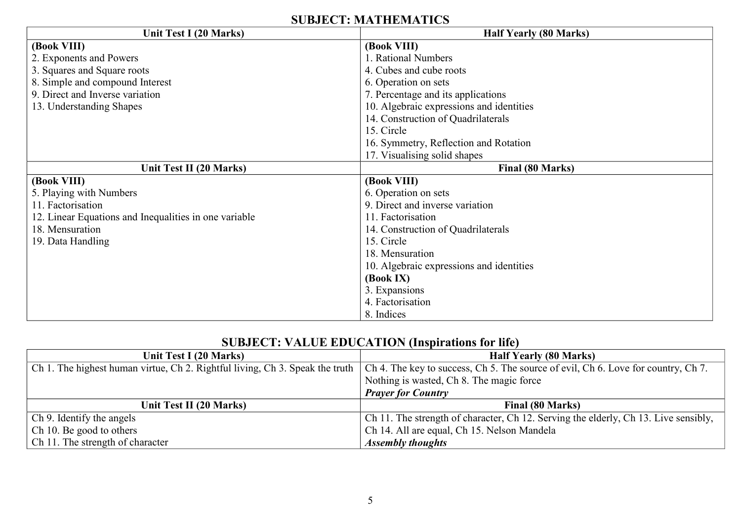### **SUBJECT: MATHEMATICS**

| Unit Test I (20 Marks)                                | <b>Half Yearly (80 Marks)</b>            |
|-------------------------------------------------------|------------------------------------------|
| (Book VIII)                                           | (Book VIII)                              |
| 2. Exponents and Powers                               | 1. Rational Numbers                      |
| 3. Squares and Square roots                           | 4. Cubes and cube roots                  |
| 8. Simple and compound Interest                       | 6. Operation on sets                     |
| 9. Direct and Inverse variation                       | 7. Percentage and its applications       |
| 13. Understanding Shapes                              | 10. Algebraic expressions and identities |
|                                                       | 14. Construction of Quadrilaterals       |
|                                                       | 15. Circle                               |
|                                                       | 16. Symmetry, Reflection and Rotation    |
|                                                       | 17. Visualising solid shapes             |
| Unit Test II (20 Marks)                               | Final (80 Marks)                         |
| (Book VIII)                                           | (Book VIII)                              |
| 5. Playing with Numbers                               | 6. Operation on sets                     |
| 11. Factorisation                                     | 9. Direct and inverse variation          |
| 12. Linear Equations and Inequalities in one variable | 11. Factorisation                        |
| 18. Mensuration                                       | 14. Construction of Quadrilaterals       |
| 19. Data Handling                                     | 15. Circle                               |
|                                                       | 18. Mensuration                          |
|                                                       | 10. Algebraic expressions and identities |
|                                                       | (Book IX)                                |
|                                                       | 3. Expansions                            |
|                                                       | 4. Factorisation                         |
|                                                       | 8. Indices                               |

# **SUBJECT: VALUE EDUCATION (Inspirations for life)**

| Unit Test I (20 Marks)           | <b>Half Yearly (80 Marks)</b>                                                                                                                                      |
|----------------------------------|--------------------------------------------------------------------------------------------------------------------------------------------------------------------|
|                                  | Ch 1. The highest human virtue, Ch 2. Rightful living, Ch 3. Speak the truth $ $ Ch 4. The key to success, Ch 5. The source of evil, Ch 6. Love for country, Ch 7. |
|                                  | Nothing is wasted, Ch 8. The magic force                                                                                                                           |
|                                  | <b>Prayer for Country</b>                                                                                                                                          |
| Unit Test II (20 Marks)          | Final (80 Marks)                                                                                                                                                   |
| Ch 9. Identify the angels        | Ch 11. The strength of character, Ch 12. Serving the elderly, Ch 13. Live sensibly,                                                                                |
| Ch 10. Be good to others         | Ch 14. All are equal, Ch 15. Nelson Mandela                                                                                                                        |
| Ch 11. The strength of character | <b>Assembly thoughts</b>                                                                                                                                           |